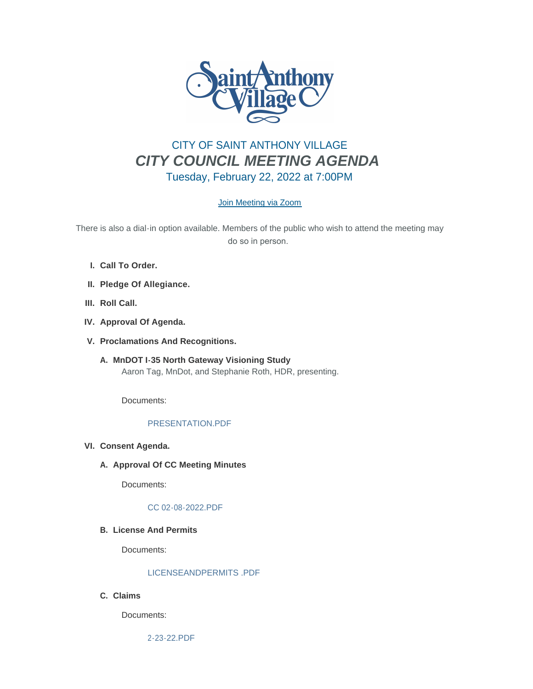

# CITY OF SAINT ANTHONY VILLAGE *CITY COUNCIL MEETING AGENDA* Tuesday, February 22, 2022 at 7:00PM

# [Join Meeting via Zoom](https://www.savmn.com/Calendar.aspx?EID=1567)

There is also a dial-in option available. Members of the public who wish to attend the meeting may do so in person.

- **Call To Order. I.**
- **Pledge Of Allegiance. II.**
- III. Roll Call.
- **Approval Of Agenda. IV.**
- **Proclamations And Recognitions. V.**
	- **MnDOT I-35 North Gateway Visioning Study A.** Aaron Tag, MnDot, and Stephanie Roth, HDR, presenting.

Documents:

# [PRESENTATION.PDF](http://www.savmn.com/AgendaCenter/ViewFile/Item/709?fileID=6707)

- **Consent Agenda. VI.**
	- A. Approval Of CC Meeting Minutes

Documents:

## [CC 02-08-2022.PDF](http://www.savmn.com/AgendaCenter/ViewFile/Item/704?fileID=6682)

## **License And Permits B.**

Documents:

#### [LICENSEANDPERMITS .PDF](http://www.savmn.com/AgendaCenter/ViewFile/Item/703?fileID=6676)

**Claims C.**

Documents:

[2-23-22.PDF](http://www.savmn.com/AgendaCenter/ViewFile/Item/702?fileID=6675)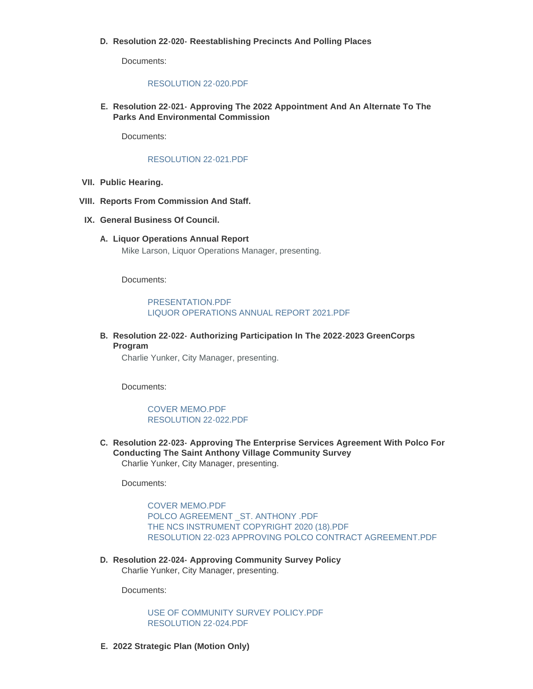#### **Resolution 22-020- Reestablishing Precincts And Polling Places D.**

Documents:

#### [RESOLUTION 22-020.PDF](http://www.savmn.com/AgendaCenter/ViewFile/Item/729?fileID=6708)

**Resolution 22-021- Approving The 2022 Appointment And An Alternate To The E. Parks And Environmental Commission**

Documents:

#### [RESOLUTION 22-021.PDF](http://www.savmn.com/AgendaCenter/ViewFile/Item/734?fileID=6700)

- **Public Hearing. VII.**
- **Reports From Commission And Staff. VIII.**
- **General Business Of Council. IX.**
	- **Liquor Operations Annual Report A.** Mike Larson, Liquor Operations Manager, presenting.

Documents:

[PRESENTATION.PDF](http://www.savmn.com/AgendaCenter/ViewFile/Item/707?fileID=6688) [LIQUOR OPERATIONS ANNUAL REPORT 2021.PDF](http://www.savmn.com/AgendaCenter/ViewFile/Item/707?fileID=6689)

**Resolution 22-022- Authorizing Participation In The 2022-2023 GreenCorps B. Program**

Charlie Yunker, City Manager, presenting.

Documents:

[COVER MEMO.PDF](http://www.savmn.com/AgendaCenter/ViewFile/Item/705?fileID=6684) [RESOLUTION 22-022.PDF](http://www.savmn.com/AgendaCenter/ViewFile/Item/705?fileID=6699)

**Resolution 22-023- Approving The Enterprise Services Agreement With Polco For C. Conducting The Saint Anthony Village Community Survey** Charlie Yunker, City Manager, presenting.

Documents:

[COVER MEMO.PDF](http://www.savmn.com/AgendaCenter/ViewFile/Item/730?fileID=6703) [POLCO AGREEMENT \\_ST. ANTHONY .PDF](http://www.savmn.com/AgendaCenter/ViewFile/Item/730?fileID=6704) [THE NCS INSTRUMENT COPYRIGHT 2020 \(18\).PDF](http://www.savmn.com/AgendaCenter/ViewFile/Item/730?fileID=6705) [RESOLUTION 22-023 APPROVING POLCO CONTRACT AGREEMENT.PDF](http://www.savmn.com/AgendaCenter/ViewFile/Item/730?fileID=6706)

**Resolution 22-024- Approving Community Survey Policy D.** Charlie Yunker, City Manager, presenting.

Documents:

[USE OF COMMUNITY SURVEY POLICY.PDF](http://www.savmn.com/AgendaCenter/ViewFile/Item/735?fileID=6702) [RESOLUTION 22-024.PDF](http://www.savmn.com/AgendaCenter/ViewFile/Item/735?fileID=6701)

**2022 Strategic Plan (Motion Only) E.**